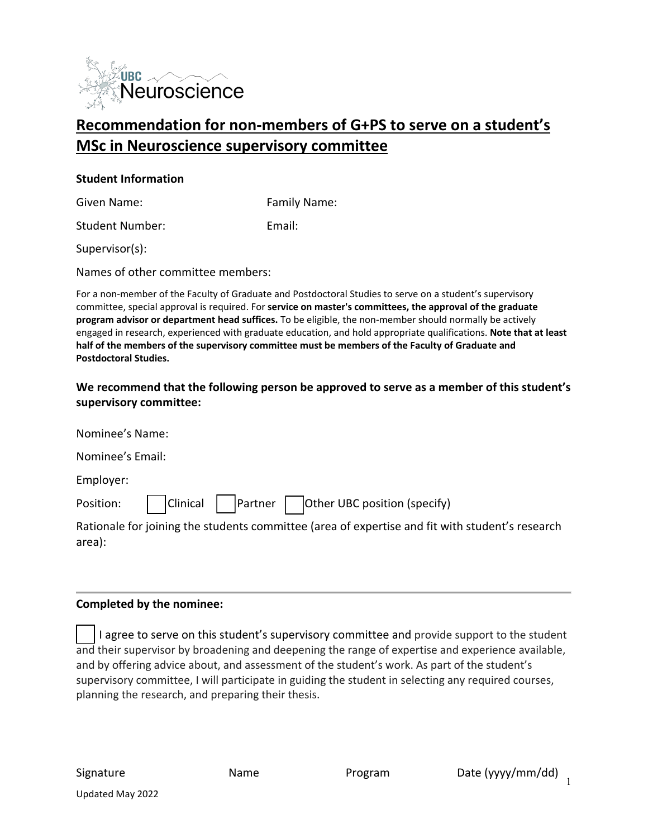

# **Recommendation for non-members of G+PS to serve on a student's MSc in Neuroscience supervisory committee**

#### **Student Information**

Given Name: The Solid Controller Service Controller Family Name:

Student Number: Email:

Supervisor(s):

Names of other committee members:

For a non-member of the Faculty of Graduate and Postdoctoral Studies to serve on a student's supervisory committee, special approval is required. For **service on master's committees, the approval of the graduate program advisor or department head suffices.** To be eligible, the non-member should normally be actively engaged in research, experienced with graduate education, and hold appropriate qualifications. **Note that at least half of the members of the supervisory committee must be members of the Faculty of Graduate and Postdoctoral Studies.** 

## **We recommend that the following person be approved to serve as a member of this student's supervisory committee:**

| Nominee's Name:                                                                                           |
|-----------------------------------------------------------------------------------------------------------|
| Nominee's Email:                                                                                          |
| Employer:                                                                                                 |
| Position: $\Box$ Clinical     Partner $\Box$ Other UBC position (specify)                                 |
| Rationale for joining the students committee (area of expertise and fit with student's research<br>area): |

#### **Completed by the nominee:**

I agree to serve on this student's supervisory committee and provide support to the student and their supervisor by broadening and deepening the range of expertise and experience available, and by offering advice about, and assessment of the student's work. As part of the student's supervisory committee, I will participate in guiding the student in selecting any required courses, planning the research, and preparing their thesis.